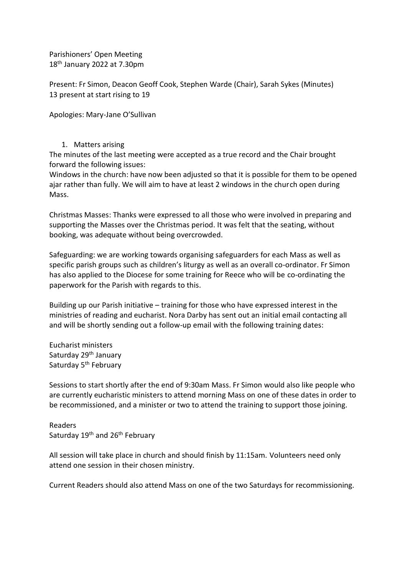Parishioners' Open Meeting 18th January 2022 at 7.30pm

Present: Fr Simon, Deacon Geoff Cook, Stephen Warde (Chair), Sarah Sykes (Minutes) 13 present at start rising to 19

Apologies: Mary-Jane O'Sullivan

### 1. Matters arising

The minutes of the last meeting were accepted as a true record and the Chair brought forward the following issues:

Windows in the church: have now been adjusted so that it is possible for them to be opened ajar rather than fully. We will aim to have at least 2 windows in the church open during Mass.

Christmas Masses: Thanks were expressed to all those who were involved in preparing and supporting the Masses over the Christmas period. It was felt that the seating, without booking, was adequate without being overcrowded.

Safeguarding: we are working towards organising safeguarders for each Mass as well as specific parish groups such as children's liturgy as well as an overall co-ordinator. Fr Simon has also applied to the Diocese for some training for Reece who will be co-ordinating the paperwork for the Parish with regards to this.

Building up our Parish initiative – training for those who have expressed interest in the ministries of reading and eucharist. Nora Darby has sent out an initial email contacting all and will be shortly sending out a follow-up email with the following training dates:

Eucharist ministers Saturday 29<sup>th</sup> January Saturday 5<sup>th</sup> February

Sessions to start shortly after the end of 9:30am Mass. Fr Simon would also like people who are currently eucharistic ministers to attend morning Mass on one of these dates in order to be recommissioned, and a minister or two to attend the training to support those joining.

Readers Saturday 19<sup>th</sup> and 26<sup>th</sup> February

All session will take place in church and should finish by 11:15am. Volunteers need only attend one session in their chosen ministry.

Current Readers should also attend Mass on one of the two Saturdays for recommissioning.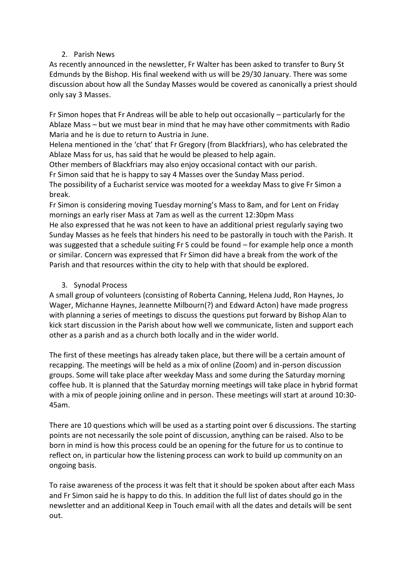# 2. Parish News

As recently announced in the newsletter, Fr Walter has been asked to transfer to Bury St Edmunds by the Bishop. His final weekend with us will be 29/30 January. There was some discussion about how all the Sunday Masses would be covered as canonically a priest should only say 3 Masses.

Fr Simon hopes that Fr Andreas will be able to help out occasionally – particularly for the Ablaze Mass – but we must bear in mind that he may have other commitments with Radio Maria and he is due to return to Austria in June.

Helena mentioned in the 'chat' that Fr Gregory (from Blackfriars), who has celebrated the Ablaze Mass for us, has said that he would be pleased to help again.

Other members of Blackfriars may also enjoy occasional contact with our parish.

Fr Simon said that he is happy to say 4 Masses over the Sunday Mass period.

The possibility of a Eucharist service was mooted for a weekday Mass to give Fr Simon a break.

Fr Simon is considering moving Tuesday morning's Mass to 8am, and for Lent on Friday mornings an early riser Mass at 7am as well as the current 12:30pm Mass

He also expressed that he was not keen to have an additional priest regularly saying two Sunday Masses as he feels that hinders his need to be pastorally in touch with the Parish. It was suggested that a schedule suiting Fr S could be found – for example help once a month or similar. Concern was expressed that Fr Simon did have a break from the work of the Parish and that resources within the city to help with that should be explored.

### 3. Synodal Process

A small group of volunteers (consisting of Roberta Canning, Helena Judd, Ron Haynes, Jo Wager, Michanne Haynes, Jeannette Milbourn(?) and Edward Acton) have made progress with planning a series of meetings to discuss the questions put forward by Bishop Alan to kick start discussion in the Parish about how well we communicate, listen and support each other as a parish and as a church both locally and in the wider world.

The first of these meetings has already taken place, but there will be a certain amount of recapping. The meetings will be held as a mix of online (Zoom) and in-person discussion groups. Some will take place after weekday Mass and some during the Saturday morning coffee hub. It is planned that the Saturday morning meetings will take place in hybrid format with a mix of people joining online and in person. These meetings will start at around 10:30- 45am.

There are 10 questions which will be used as a starting point over 6 discussions. The starting points are not necessarily the sole point of discussion, anything can be raised. Also to be born in mind is how this process could be an opening for the future for us to continue to reflect on, in particular how the listening process can work to build up community on an ongoing basis.

To raise awareness of the process it was felt that it should be spoken about after each Mass and Fr Simon said he is happy to do this. In addition the full list of dates should go in the newsletter and an additional Keep in Touch email with all the dates and details will be sent out.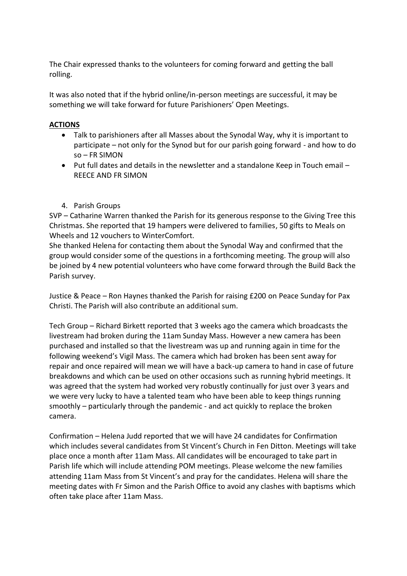The Chair expressed thanks to the volunteers for coming forward and getting the ball rolling.

It was also noted that if the hybrid online/in-person meetings are successful, it may be something we will take forward for future Parishioners' Open Meetings.

# **ACTIONS**

- Talk to parishioners after all Masses about the Synodal Way, why it is important to participate – not only for the Synod but for our parish going forward - and how to do so – FR SIMON
- Put full dates and details in the newsletter and a standalone Keep in Touch email REECE AND FR SIMON
- 4. Parish Groups

SVP – Catharine Warren thanked the Parish for its generous response to the Giving Tree this Christmas. She reported that 19 hampers were delivered to families, 50 gifts to Meals on Wheels and 12 vouchers to WinterComfort.

She thanked Helena for contacting them about the Synodal Way and confirmed that the group would consider some of the questions in a forthcoming meeting. The group will also be joined by 4 new potential volunteers who have come forward through the Build Back the Parish survey.

Justice & Peace – Ron Haynes thanked the Parish for raising £200 on Peace Sunday for Pax Christi. The Parish will also contribute an additional sum.

Tech Group – Richard Birkett reported that 3 weeks ago the camera which broadcasts the livestream had broken during the 11am Sunday Mass. However a new camera has been purchased and installed so that the livestream was up and running again in time for the following weekend's Vigil Mass. The camera which had broken has been sent away for repair and once repaired will mean we will have a back-up camera to hand in case of future breakdowns and which can be used on other occasions such as running hybrid meetings. It was agreed that the system had worked very robustly continually for just over 3 years and we were very lucky to have a talented team who have been able to keep things running smoothly – particularly through the pandemic - and act quickly to replace the broken camera.

Confirmation – Helena Judd reported that we will have 24 candidates for Confirmation which includes several candidates from St Vincent's Church in Fen Ditton. Meetings will take place once a month after 11am Mass. All candidates will be encouraged to take part in Parish life which will include attending POM meetings. Please welcome the new families attending 11am Mass from St Vincent's and pray for the candidates. Helena will share the meeting dates with Fr Simon and the Parish Office to avoid any clashes with baptisms which often take place after 11am Mass.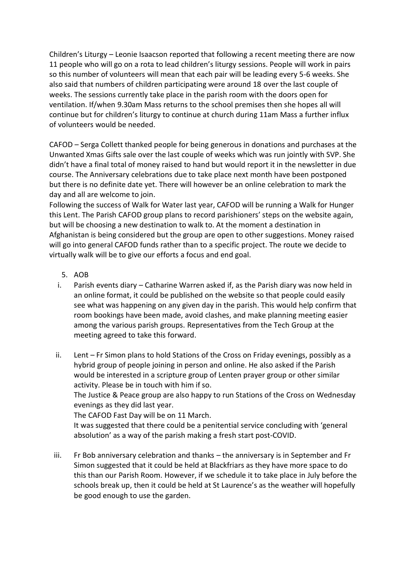Children's Liturgy – Leonie Isaacson reported that following a recent meeting there are now 11 people who will go on a rota to lead children's liturgy sessions. People will work in pairs so this number of volunteers will mean that each pair will be leading every 5-6 weeks. She also said that numbers of children participating were around 18 over the last couple of weeks. The sessions currently take place in the parish room with the doors open for ventilation. If/when 9.30am Mass returns to the school premises then she hopes all will continue but for children's liturgy to continue at church during 11am Mass a further influx of volunteers would be needed.

CAFOD – Serga Collett thanked people for being generous in donations and purchases at the Unwanted Xmas Gifts sale over the last couple of weeks which was run jointly with SVP. She didn't have a final total of money raised to hand but would report it in the newsletter in due course. The Anniversary celebrations due to take place next month have been postponed but there is no definite date yet. There will however be an online celebration to mark the day and all are welcome to join.

Following the success of Walk for Water last year, CAFOD will be running a Walk for Hunger this Lent. The Parish CAFOD group plans to record parishioners' steps on the website again, but will be choosing a new destination to walk to. At the moment a destination in Afghanistan is being considered but the group are open to other suggestions. Money raised will go into general CAFOD funds rather than to a specific project. The route we decide to virtually walk will be to give our efforts a focus and end goal.

- 5. AOB
- i. Parish events diary Catharine Warren asked if, as the Parish diary was now held in an online format, it could be published on the website so that people could easily see what was happening on any given day in the parish. This would help confirm that room bookings have been made, avoid clashes, and make planning meeting easier among the various parish groups. Representatives from the Tech Group at the meeting agreed to take this forward.
- ii. Lent Fr Simon plans to hold Stations of the Cross on Friday evenings, possibly as a hybrid group of people joining in person and online. He also asked if the Parish would be interested in a scripture group of Lenten prayer group or other similar activity. Please be in touch with him if so.

The Justice & Peace group are also happy to run Stations of the Cross on Wednesday evenings as they did last year.

The CAFOD Fast Day will be on 11 March.

It was suggested that there could be a penitential service concluding with 'general absolution' as a way of the parish making a fresh start post-COVID.

iii. Fr Bob anniversary celebration and thanks – the anniversary is in September and Fr Simon suggested that it could be held at Blackfriars as they have more space to do this than our Parish Room. However, if we schedule it to take place in July before the schools break up, then it could be held at St Laurence's as the weather will hopefully be good enough to use the garden.